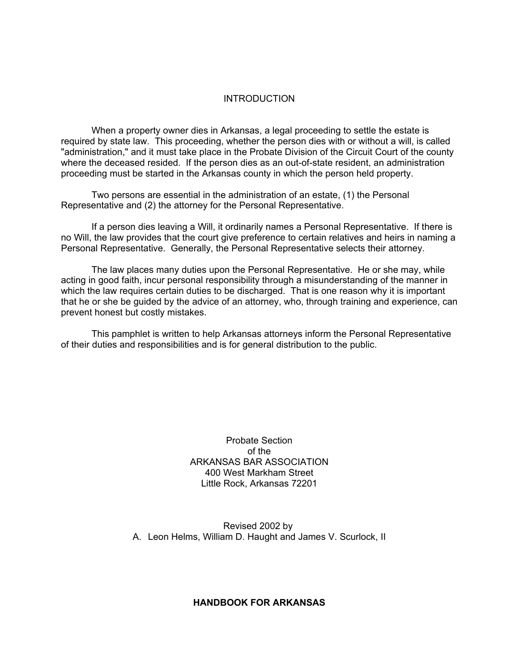#### **INTRODUCTION**

When a property owner dies in Arkansas, a legal proceeding to settle the estate is required by state law. This proceeding, whether the person dies with or without a will, is called "administration," and it must take place in the Probate Division of the Circuit Court of the county where the deceased resided. If the person dies as an out-of-state resident, an administration proceeding must be started in the Arkansas county in which the person held property.

Two persons are essential in the administration of an estate, (1) the Personal Representative and (2) the attorney for the Personal Representative.

If a person dies leaving a Will, it ordinarily names a Personal Representative. If there is no Will, the law provides that the court give preference to certain relatives and heirs in naming a Personal Representative. Generally, the Personal Representative selects their attorney.

The law places many duties upon the Personal Representative. He or she may, while acting in good faith, incur personal responsibility through a misunderstanding of the manner in which the law requires certain duties to be discharged. That is one reason why it is important that he or she be guided by the advice of an attorney, who, through training and experience, can prevent honest but costly mistakes.

This pamphlet is written to help Arkansas attorneys inform the Personal Representative of their duties and responsibilities and is for general distribution to the public.

> Probate Section of the ARKANSAS BAR ASSOCIATION 400 West Markham Street Little Rock, Arkansas 72201

Revised 2002 by A. Leon Helms, William D. Haught and James V. Scurlock, II

# **HANDBOOK FOR ARKANSAS**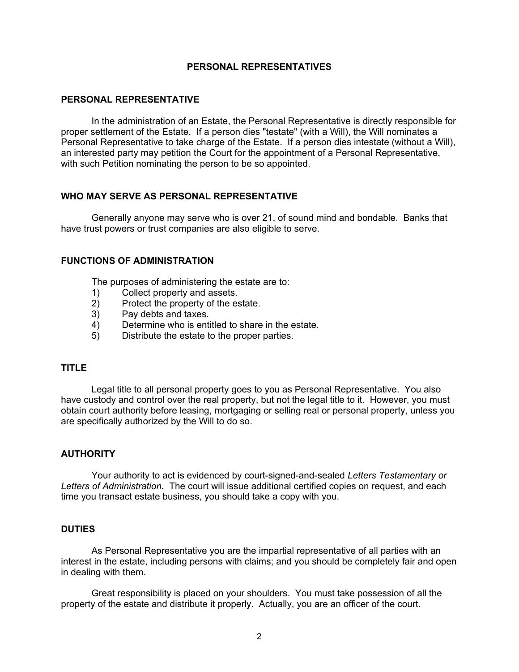## **PERSONAL REPRESENTATIVES**

## **PERSONAL REPRESENTATIVE**

In the administration of an Estate, the Personal Representative is directly responsible for proper settlement of the Estate. If a person dies "testate" (with a Will), the Will nominates a Personal Representative to take charge of the Estate. If a person dies intestate (without a Will), an interested party may petition the Court for the appointment of a Personal Representative, with such Petition nominating the person to be so appointed.

## **WHO MAY SERVE AS PERSONAL REPRESENTATIVE**

Generally anyone may serve who is over 21, of sound mind and bondable. Banks that have trust powers or trust companies are also eligible to serve.

### **FUNCTIONS OF ADMINISTRATION**

The purposes of administering the estate are to:

- 1) Collect property and assets.
- 2) Protect the property of the estate.
- 3) Pay debts and taxes.
- 4) Determine who is entitled to share in the estate.
- 5) Distribute the estate to the proper parties.

### **TITLE**

Legal title to all personal property goes to you as Personal Representative. You also have custody and control over the real property, but not the legal title to it. However, you must obtain court authority before leasing, mortgaging or selling real or personal property, unless you are specifically authorized by the Will to do so.

### **AUTHORITY**

Your authority to act is evidenced by court-signed-and-sealed *Letters Testamentary or Letters of Administration.* The court will issue additional certified copies on request, and each time you transact estate business, you should take a copy with you.

### **DUTIES**

As Personal Representative you are the impartial representative of all parties with an interest in the estate, including persons with claims; and you should be completely fair and open in dealing with them.

Great responsibility is placed on your shoulders. You must take possession of all the property of the estate and distribute it properly. Actually, you are an officer of the court.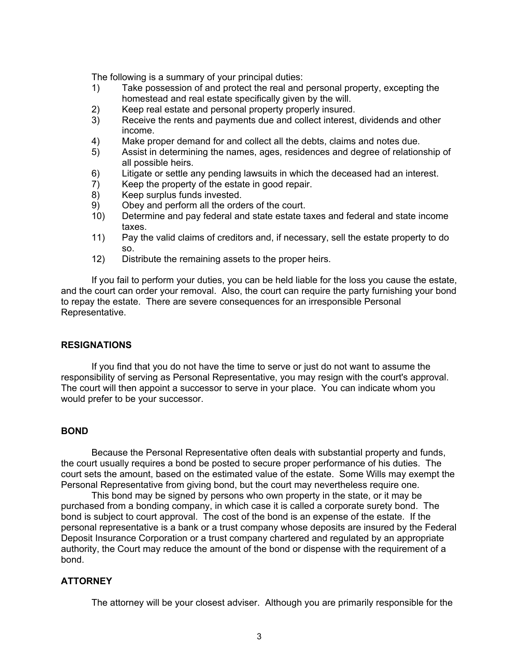The following is a summary of your principal duties:

- 1) Take possession of and protect the real and personal property, excepting the homestead and real estate specifically given by the will.
- 2) Keep real estate and personal property properly insured.
- 3) Receive the rents and payments due and collect interest, dividends and other income.
- 4) Make proper demand for and collect all the debts, claims and notes due.
- 5) Assist in determining the names, ages, residences and degree of relationship of all possible heirs.
- 6) Litigate or settle any pending lawsuits in which the deceased had an interest.
- 7) Keep the property of the estate in good repair.
- 8) Keep surplus funds invested.
- 9) Obey and perform all the orders of the court.
- 10) Determine and pay federal and state estate taxes and federal and state income taxes.
- 11) Pay the valid claims of creditors and, if necessary, sell the estate property to do so.
- 12) Distribute the remaining assets to the proper heirs.

If you fail to perform your duties, you can be held liable for the loss you cause the estate, and the court can order your removal. Also, the court can require the party furnishing your bond to repay the estate. There are severe consequences for an irresponsible Personal Representative.

### **RESIGNATIONS**

If you find that you do not have the time to serve or just do not want to assume the responsibility of serving as Personal Representative, you may resign with the court's approval. The court will then appoint a successor to serve in your place. You can indicate whom you would prefer to be your successor.

# **BOND**

Because the Personal Representative often deals with substantial property and funds, the court usually requires a bond be posted to secure proper performance of his duties. The court sets the amount, based on the estimated value of the estate. Some Wills may exempt the Personal Representative from giving bond, but the court may nevertheless require one.

This bond may be signed by persons who own property in the state, or it may be purchased from a bonding company, in which case it is called a corporate surety bond. The bond is subject to court approval. The cost of the bond is an expense of the estate. If the personal representative is a bank or a trust company whose deposits are insured by the Federal Deposit Insurance Corporation or a trust company chartered and regulated by an appropriate authority, the Court may reduce the amount of the bond or dispense with the requirement of a bond.

### **ATTORNEY**

The attorney will be your closest adviser. Although you are primarily responsible for the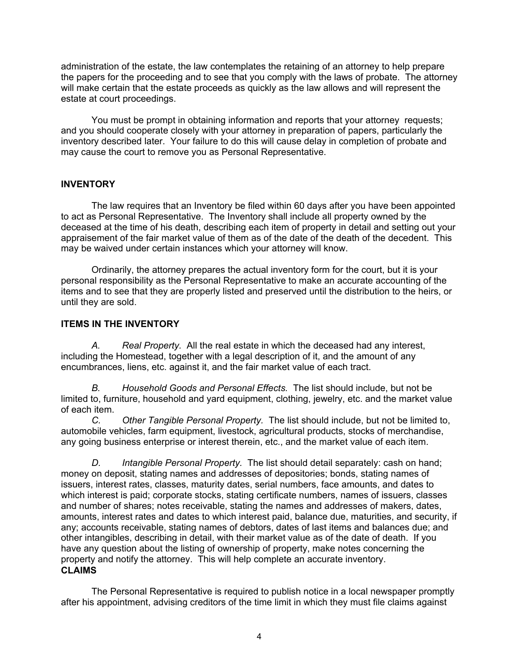administration of the estate, the law contemplates the retaining of an attorney to help prepare the papers for the proceeding and to see that you comply with the laws of probate. The attorney will make certain that the estate proceeds as quickly as the law allows and will represent the estate at court proceedings.

You must be prompt in obtaining information and reports that your attorney requests; and you should cooperate closely with your attorney in preparation of papers, particularly the inventory described later. Your failure to do this will cause delay in completion of probate and may cause the court to remove you as Personal Representative.

# **INVENTORY**

The law requires that an Inventory be filed within 60 days after you have been appointed to act as Personal Representative. The Inventory shall include all property owned by the deceased at the time of his death, describing each item of property in detail and setting out your appraisement of the fair market value of them as of the date of the death of the decedent. This may be waived under certain instances which your attorney will know.

Ordinarily, the attorney prepares the actual inventory form for the court, but it is your personal responsibility as the Personal Representative to make an accurate accounting of the items and to see that they are properly listed and preserved until the distribution to the heirs, or until they are sold.

# **ITEMS IN THE INVENTORY**

*A. Real Property.* All the real estate in which the deceased had any interest, including the Homestead, together with a legal description of it, and the amount of any encumbrances, liens, etc. against it, and the fair market value of each tract.

*B. Household Goods and Personal Effects.* The list should include, but not be limited to, furniture, household and yard equipment, clothing, jewelry, etc. and the market value of each item.

*C. Other Tangible Personal Property.* The list should include, but not be limited to, automobile vehicles, farm equipment, livestock, agricultural products, stocks of merchandise, any going business enterprise or interest therein, etc., and the market value of each item.

*D. Intangible Personal Property.* The list should detail separately: cash on hand; money on deposit, stating names and addresses of depositories; bonds, stating names of issuers, interest rates, classes, maturity dates, serial numbers, face amounts, and dates to which interest is paid; corporate stocks, stating certificate numbers, names of issuers, classes and number of shares; notes receivable, stating the names and addresses of makers, dates, amounts, interest rates and dates to which interest paid, balance due, maturities, and security, if any; accounts receivable, stating names of debtors, dates of last items and balances due; and other intangibles, describing in detail, with their market value as of the date of death. If you have any question about the listing of ownership of property, make notes concerning the property and notify the attorney. This will help complete an accurate inventory. **CLAIMS**

The Personal Representative is required to publish notice in a local newspaper promptly after his appointment, advising creditors of the time limit in which they must file claims against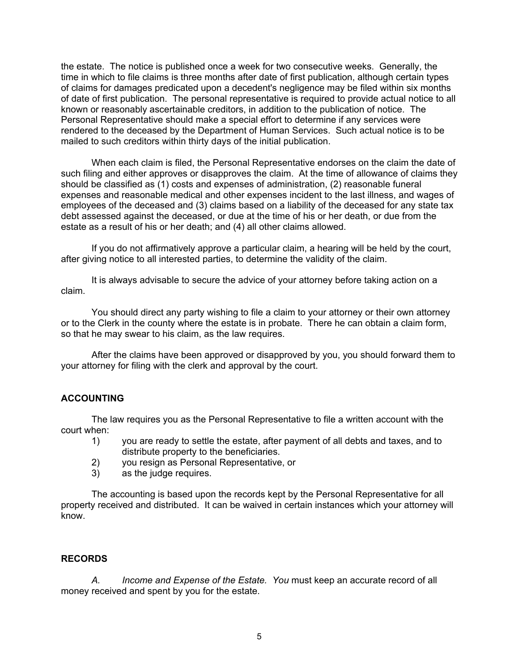the estate. The notice is published once a week for two consecutive weeks. Generally, the time in which to file claims is three months after date of first publication, although certain types of claims for damages predicated upon a decedent's negligence may be filed within six months of date of first publication. The personal representative is required to provide actual notice to all known or reasonably ascertainable creditors, in addition to the publication of notice. The Personal Representative should make a special effort to determine if any services were rendered to the deceased by the Department of Human Services. Such actual notice is to be mailed to such creditors within thirty days of the initial publication.

When each claim is filed, the Personal Representative endorses on the claim the date of such filing and either approves or disapproves the claim. At the time of allowance of claims they should be classified as (1) costs and expenses of administration, (2) reasonable funeral expenses and reasonable medical and other expenses incident to the last illness, and wages of employees of the deceased and (3) claims based on a liability of the deceased for any state tax debt assessed against the deceased, or due at the time of his or her death, or due from the estate as a result of his or her death; and (4) all other claims allowed.

If you do not affirmatively approve a particular claim, a hearing will be held by the court, after giving notice to all interested parties, to determine the validity of the claim.

It is always advisable to secure the advice of your attorney before taking action on a claim.

You should direct any party wishing to file a claim to your attorney or their own attorney or to the Clerk in the county where the estate is in probate. There he can obtain a claim form, so that he may swear to his claim, as the law requires.

After the claims have been approved or disapproved by you, you should forward them to your attorney for filing with the clerk and approval by the court.

# **ACCOUNTING**

The law requires you as the Personal Representative to file a written account with the court when:

- 1) you are ready to settle the estate, after payment of all debts and taxes, and to distribute property to the beneficiaries.
- 2) you resign as Personal Representative, or
- 3) as the judge requires.

The accounting is based upon the records kept by the Personal Representative for all property received and distributed. It can be waived in certain instances which your attorney will know.

# **RECORDS**

*A. Income and Expense of the Estate. You* must keep an accurate record of all money received and spent by you for the estate.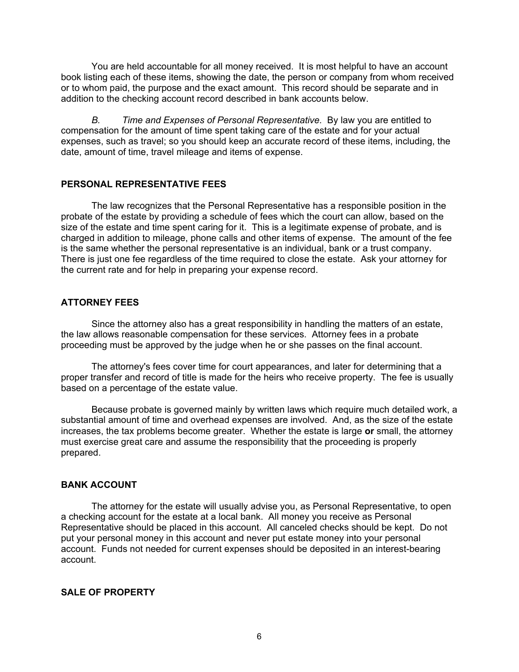You are held accountable for all money received. It is most helpful to have an account book listing each of these items, showing the date, the person or company from whom received or to whom paid, the purpose and the exact amount. This record should be separate and in addition to the checking account record described in bank accounts below.

*B. Time and Expenses of Personal Representative.* By law you are entitled to compensation for the amount of time spent taking care of the estate and for your actual expenses, such as travel; so you should keep an accurate record of these items, including, the date, amount of time, travel mileage and items of expense.

## **PERSONAL REPRESENTATIVE FEES**

The law recognizes that the Personal Representative has a responsible position in the probate of the estate by providing a schedule of fees which the court can allow, based on the size of the estate and time spent caring for it. This is a legitimate expense of probate, and is charged in addition to mileage, phone calls and other items of expense. The amount of the fee is the same whether the personal representative is an individual, bank or a trust company. There is just one fee regardless of the time required to close the estate. Ask your attorney for the current rate and for help in preparing your expense record.

## **ATTORNEY FEES**

Since the attorney also has a great responsibility in handling the matters of an estate, the law allows reasonable compensation for these services. Attorney fees in a probate proceeding must be approved by the judge when he or she passes on the final account.

The attorney's fees cover time for court appearances, and later for determining that a proper transfer and record of title is made for the heirs who receive property. The fee is usually based on a percentage of the estate value.

Because probate is governed mainly by written laws which require much detailed work, a substantial amount of time and overhead expenses are involved. And, as the size of the estate increases, the tax problems become greater. Whether the estate is large **or** small, the attorney must exercise great care and assume the responsibility that the proceeding is properly prepared.

### **BANK ACCOUNT**

The attorney for the estate will usually advise you, as Personal Representative, to open a checking account for the estate at a local bank. All money you receive as Personal Representative should be placed in this account. All canceled checks should be kept. Do not put your personal money in this account and never put estate money into your personal account. Funds not needed for current expenses should be deposited in an interest-bearing account.

# **SALE OF PROPERTY**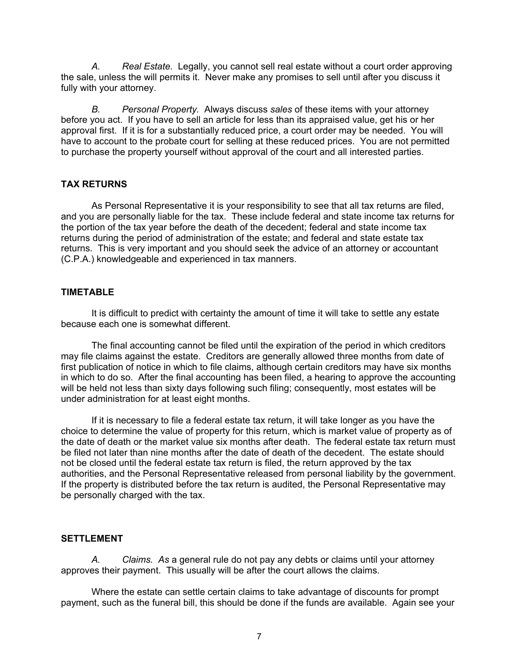*A. Real Estate.* Legally, you cannot sell real estate without a court order approving the sale, unless the will permits it. Never make any promises to sell until after you discuss it fully with your attorney.

*B. Personal Property.* Always discuss *sales* of these items with your attorney before you act. If you have to sell an article for less than its appraised value, get his or her approval first. If it is for a substantially reduced price, a court order may be needed. You will have to account to the probate court for selling at these reduced prices. You are not permitted to purchase the property yourself without approval of the court and all interested parties.

# **TAX RETURNS**

As Personal Representative it is your responsibility to see that all tax returns are filed, and you are personally liable for the tax. These include federal and state income tax returns for the portion of the tax year before the death of the decedent; federal and state income tax returns during the period of administration of the estate; and federal and state estate tax returns. This is very important and you should seek the advice of an attorney or accountant (C.P.A.) knowledgeable and experienced in tax manners.

# **TIMETABLE**

It is difficult to predict with certainty the amount of time it will take to settle any estate because each one is somewhat different.

The final accounting cannot be filed until the expiration of the period in which creditors may file claims against the estate. Creditors are generally allowed three months from date of first publication of notice in which to file claims, although certain creditors may have six months in which to do so. After the final accounting has been filed, a hearing to approve the accounting will be held not less than sixty days following such filing; consequently, most estates will be under administration for at least eight months.

If it is necessary to file a federal estate tax return, it will take longer as you have the choice to determine the value of property for this return, which is market value of property as of the date of death or the market value six months after death. The federal estate tax return must be filed not later than nine months after the date of death of the decedent. The estate should not be closed until the federal estate tax return is filed, the return approved by the tax authorities, and the Personal Representative released from personal liability by the government. If the property is distributed before the tax return is audited, the Personal Representative may be personally charged with the tax.

# **SETTLEMENT**

*A. Claims. As* a general rule do not pay any debts or claims until your attorney approves their payment. This usually will be after the court allows the claims.

Where the estate can settle certain claims to take advantage of discounts for prompt payment, such as the funeral bill, this should be done if the funds are available. Again see your